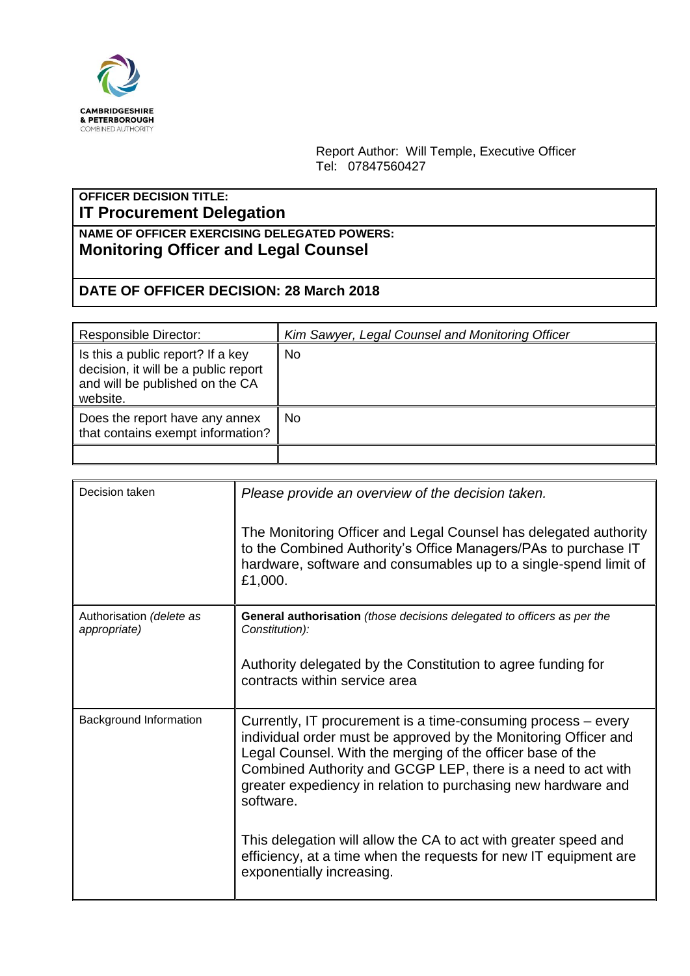

Report Author: Will Temple, Executive Officer Tel: 07847560427

## **OFFICER DECISION TITLE: IT Procurement Delegation**

## **NAME OF OFFICER EXERCISING DELEGATED POWERS: Monitoring Officer and Legal Counsel**

## **DATE OF OFFICER DECISION: 28 March 2018**

| <b>Responsible Director:</b>                                                                                             | Kim Sawyer, Legal Counsel and Monitoring Officer |
|--------------------------------------------------------------------------------------------------------------------------|--------------------------------------------------|
| Is this a public report? If a key<br>decision, it will be a public report<br>and will be published on the CA<br>website. | No                                               |
| Does the report have any annex<br>that contains exempt information?                                                      | No                                               |
|                                                                                                                          |                                                  |

| Decision taken                           | Please provide an overview of the decision taken.<br>The Monitoring Officer and Legal Counsel has delegated authority<br>to the Combined Authority's Office Managers/PAs to purchase IT<br>hardware, software and consumables up to a single-spend limit of<br>£1,000.                                                                                                                                                                                                                                           |
|------------------------------------------|------------------------------------------------------------------------------------------------------------------------------------------------------------------------------------------------------------------------------------------------------------------------------------------------------------------------------------------------------------------------------------------------------------------------------------------------------------------------------------------------------------------|
| Authorisation (delete as<br>appropriate) | General authorisation (those decisions delegated to officers as per the<br>Constitution):<br>Authority delegated by the Constitution to agree funding for<br>contracts within service area                                                                                                                                                                                                                                                                                                                       |
| Background Information                   | Currently, IT procurement is a time-consuming process – every<br>individual order must be approved by the Monitoring Officer and<br>Legal Counsel. With the merging of the officer base of the<br>Combined Authority and GCGP LEP, there is a need to act with<br>greater expediency in relation to purchasing new hardware and<br>software.<br>This delegation will allow the CA to act with greater speed and<br>efficiency, at a time when the requests for new IT equipment are<br>exponentially increasing. |